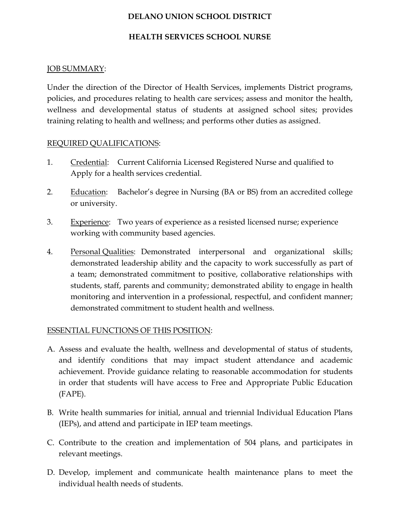# DELANO UNION SCHOOL DISTRICT

## HEALTH SERVICES SCHOOL NURSE

## JOB SUMMARY:

Under the direction of the Director of Health Services, implements District programs, policies, and procedures relating to health care services; assess and monitor the health, wellness and developmental status of students at assigned school sites; provides training relating to health and wellness; and performs other duties as assigned.

#### REQUIRED QUALIFICATIONS:

- 1. Credential: Current California Licensed Registered Nurse and qualified to Apply for a health services credential.
- 2. Education: Bachelor's degree in Nursing (BA or BS) from an accredited college or university.
- 3. Experience: Two years of experience as a resisted licensed nurse; experience working with community based agencies.
- 4. Personal Qualities: Demonstrated interpersonal and organizational skills; demonstrated leadership ability and the capacity to work successfully as part of a team; demonstrated commitment to positive, collaborative relationships with students, staff, parents and community; demonstrated ability to engage in health monitoring and intervention in a professional, respectful, and confident manner; demonstrated commitment to student health and wellness.

## ESSENTIAL FUNCTIONS OF THIS POSITION:

- A. Assess and evaluate the health, wellness and developmental of status of students, and identify conditions that may impact student attendance and academic achievement. Provide guidance relating to reasonable accommodation for students in order that students will have access to Free and Appropriate Public Education (FAPE).
- B. Write health summaries for initial, annual and triennial Individual Education Plans (IEPs), and attend and participate in IEP team meetings.
- C. Contribute to the creation and implementation of 504 plans, and participates in relevant meetings.
- D. Develop, implement and communicate health maintenance plans to meet the individual health needs of students.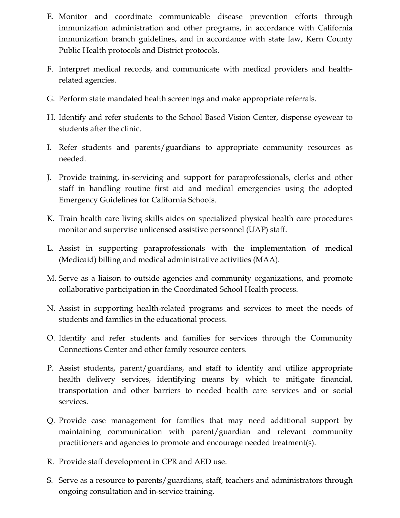- E. Monitor and coordinate communicable disease prevention efforts through immunization administration and other programs, in accordance with California immunization branch guidelines, and in accordance with state law, Kern County Public Health protocols and District protocols.
- F. Interpret medical records, and communicate with medical providers and healthrelated agencies.
- G. Perform state mandated health screenings and make appropriate referrals.
- H. Identify and refer students to the School Based Vision Center, dispense eyewear to students after the clinic.
- I. Refer students and parents/guardians to appropriate community resources as needed.
- J. Provide training, in-servicing and support for paraprofessionals, clerks and other staff in handling routine first aid and medical emergencies using the adopted Emergency Guidelines for California Schools.
- K. Train health care living skills aides on specialized physical health care procedures monitor and supervise unlicensed assistive personnel (UAP) staff.
- L. Assist in supporting paraprofessionals with the implementation of medical (Medicaid) billing and medical administrative activities (MAA).
- M. Serve as a liaison to outside agencies and community organizations, and promote collaborative participation in the Coordinated School Health process.
- N. Assist in supporting health-related programs and services to meet the needs of students and families in the educational process.
- O. Identify and refer students and families for services through the Community Connections Center and other family resource centers.
- P. Assist students, parent/guardians, and staff to identify and utilize appropriate health delivery services, identifying means by which to mitigate financial, transportation and other barriers to needed health care services and or social services.
- Q. Provide case management for families that may need additional support by maintaining communication with parent/guardian and relevant community practitioners and agencies to promote and encourage needed treatment(s).
- R. Provide staff development in CPR and AED use.
- S. Serve as a resource to parents/guardians, staff, teachers and administrators through ongoing consultation and in-service training.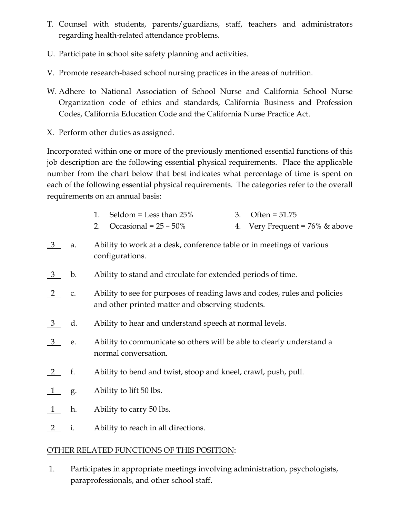- T. Counsel with students, parents/guardians, staff, teachers and administrators regarding health-related attendance problems.
- U. Participate in school site safety planning and activities.
- V. Promote research-based school nursing practices in the areas of nutrition.
- W. Adhere to National Association of School Nurse and California School Nurse Organization code of ethics and standards, California Business and Profession Codes, California Education Code and the California Nurse Practice Act.
- X. Perform other duties as assigned.

Incorporated within one or more of the previously mentioned essential functions of this job description are the following essential physical requirements. Place the applicable number from the chart below that best indicates what percentage of time is spent on each of the following essential physical requirements. The categories refer to the overall requirements on an annual basis:

- 1. Seldom = Less than 25% 3. Often = 51.75
- 2. Occasional =  $25 50\%$  4. Very Frequent =  $76\%$  & above
- \_3 a. Ability to work at a desk, conference table or in meetings of various configurations.
- 3 b. Ability to stand and circulate for extended periods of time.
- 2 c. Ability to see for purposes of reading laws and codes, rules and policies and other printed matter and observing students.
- 3 d. Ability to hear and understand speech at normal levels.
- 3 e. Ability to communicate so others will be able to clearly understand a normal conversation.
- 2 f. Ability to bend and twist, stoop and kneel, crawl, push, pull.
- 1 g. Ability to lift 50 lbs.
- $1$  h. Ability to carry 50 lbs.
- 2 i. Ability to reach in all directions.

# OTHER RELATED FUNCTIONS OF THIS POSITION:

 1. Participates in appropriate meetings involving administration, psychologists, paraprofessionals, and other school staff.